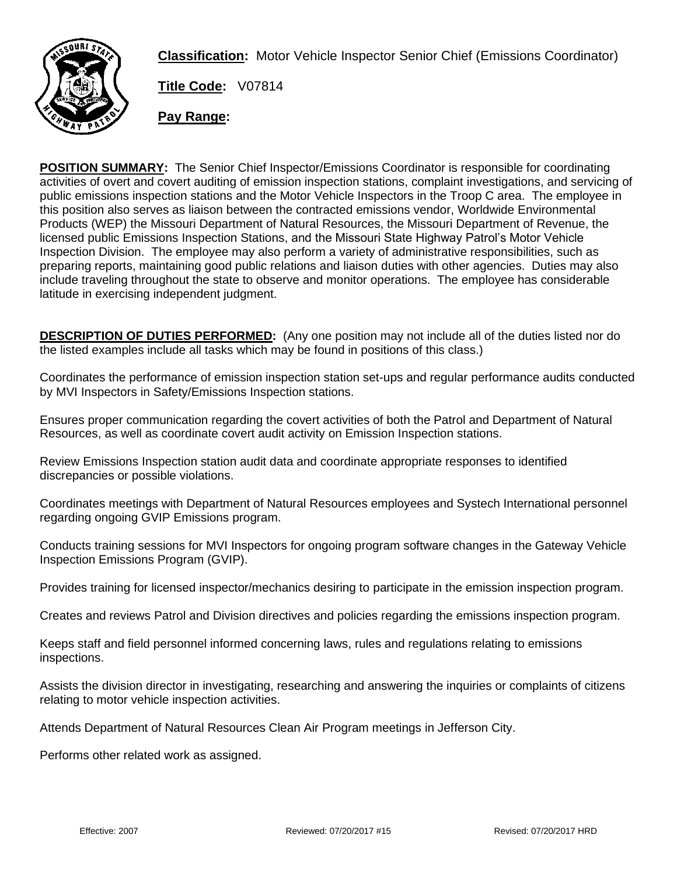

**Classification:** Motor Vehicle Inspector Senior Chief (Emissions Coordinator)

**Title Code:** V07814

**Pay Range:**

**POSITION SUMMARY:** The Senior Chief Inspector/Emissions Coordinator is responsible for coordinating activities of overt and covert auditing of emission inspection stations, complaint investigations, and servicing of public emissions inspection stations and the Motor Vehicle Inspectors in the Troop C area. The employee in this position also serves as liaison between the contracted emissions vendor, Worldwide Environmental Products (WEP) the Missouri Department of Natural Resources, the Missouri Department of Revenue, the licensed public Emissions Inspection Stations, and the Missouri State Highway Patrol's Motor Vehicle Inspection Division. The employee may also perform a variety of administrative responsibilities, such as preparing reports, maintaining good public relations and liaison duties with other agencies. Duties may also include traveling throughout the state to observe and monitor operations. The employee has considerable latitude in exercising independent judgment.

**DESCRIPTION OF DUTIES PERFORMED:** (Any one position may not include all of the duties listed nor do the listed examples include all tasks which may be found in positions of this class.)

Coordinates the performance of emission inspection station set-ups and regular performance audits conducted by MVI Inspectors in Safety/Emissions Inspection stations.

Ensures proper communication regarding the covert activities of both the Patrol and Department of Natural Resources, as well as coordinate covert audit activity on Emission Inspection stations.

Review Emissions Inspection station audit data and coordinate appropriate responses to identified discrepancies or possible violations.

Coordinates meetings with Department of Natural Resources employees and Systech International personnel regarding ongoing GVIP Emissions program.

Conducts training sessions for MVI Inspectors for ongoing program software changes in the Gateway Vehicle Inspection Emissions Program (GVIP).

Provides training for licensed inspector/mechanics desiring to participate in the emission inspection program.

Creates and reviews Patrol and Division directives and policies regarding the emissions inspection program.

Keeps staff and field personnel informed concerning laws, rules and regulations relating to emissions inspections.

Assists the division director in investigating, researching and answering the inquiries or complaints of citizens relating to motor vehicle inspection activities.

Attends Department of Natural Resources Clean Air Program meetings in Jefferson City.

Performs other related work as assigned.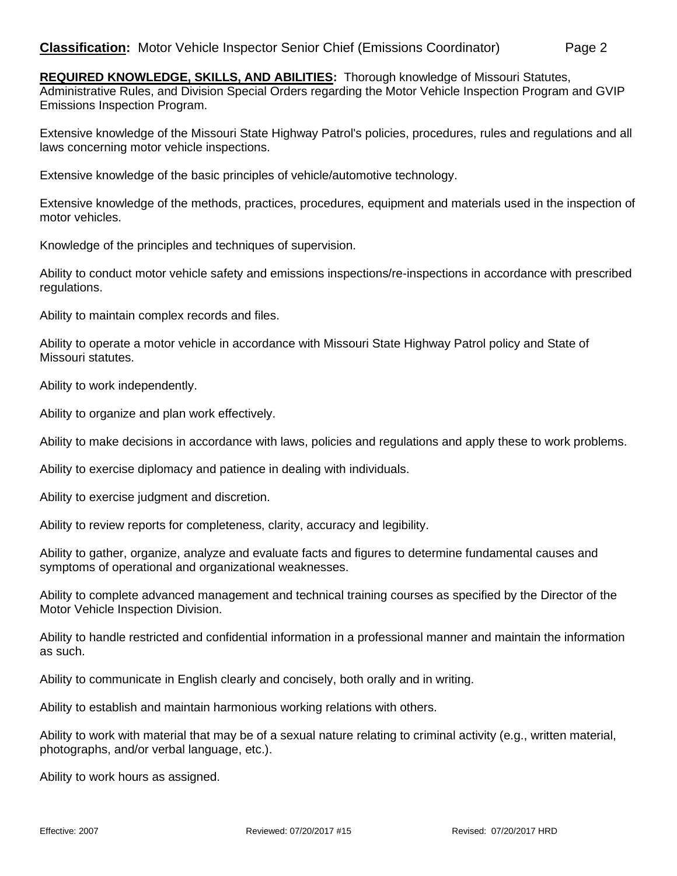**REQUIRED KNOWLEDGE, SKILLS, AND ABILITIES:** Thorough knowledge of Missouri Statutes,

Administrative Rules, and Division Special Orders regarding the Motor Vehicle Inspection Program and GVIP Emissions Inspection Program.

Extensive knowledge of the Missouri State Highway Patrol's policies, procedures, rules and regulations and all laws concerning motor vehicle inspections.

Extensive knowledge of the basic principles of vehicle/automotive technology.

Extensive knowledge of the methods, practices, procedures, equipment and materials used in the inspection of motor vehicles.

Knowledge of the principles and techniques of supervision.

Ability to conduct motor vehicle safety and emissions inspections/re-inspections in accordance with prescribed regulations.

Ability to maintain complex records and files.

Ability to operate a motor vehicle in accordance with Missouri State Highway Patrol policy and State of Missouri statutes.

Ability to work independently.

Ability to organize and plan work effectively.

Ability to make decisions in accordance with laws, policies and regulations and apply these to work problems.

Ability to exercise diplomacy and patience in dealing with individuals.

Ability to exercise judgment and discretion.

Ability to review reports for completeness, clarity, accuracy and legibility.

Ability to gather, organize, analyze and evaluate facts and figures to determine fundamental causes and symptoms of operational and organizational weaknesses.

Ability to complete advanced management and technical training courses as specified by the Director of the Motor Vehicle Inspection Division.

Ability to handle restricted and confidential information in a professional manner and maintain the information as such.

Ability to communicate in English clearly and concisely, both orally and in writing.

Ability to establish and maintain harmonious working relations with others.

Ability to work with material that may be of a sexual nature relating to criminal activity (e.g., written material, photographs, and/or verbal language, etc.).

Ability to work hours as assigned.